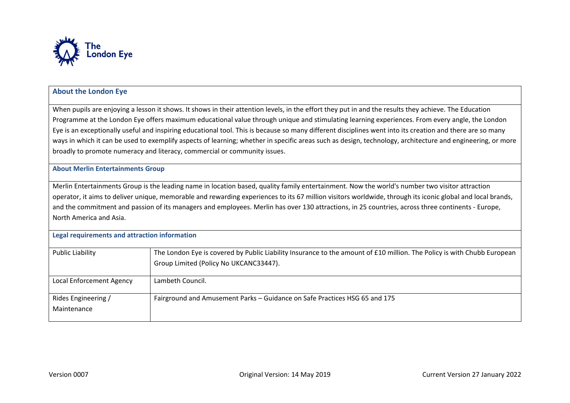

## **About the London Eye**

When pupils are enjoying a lesson it shows. It shows in their attention levels, in the effort they put in and the results they achieve. The Education Programme at the London Eye offers maximum educational value through unique and stimulating learning experiences. From every angle, the London Eye is an exceptionally useful and inspiring educational tool. This is because so many different disciplines went into its creation and there are so many ways in which it can be used to exemplify aspects of learning; whether in specific areas such as design, technology, architecture and engineering, or more broadly to promote numeracy and literacy, commercial or community issues.

**About Merlin Entertainments Group** 

Merlin Entertainments Group is the leading name in location based, quality family entertainment. Now the world's number two visitor attraction operator, it aims to deliver unique, memorable and rewarding experiences to its 67 million visitors worldwide, through its iconic global and local brands, and the commitment and passion of its managers and employees. Merlin has over 130 attractions, in 25 countries, across three continents - Europe, North America and Asia.

| Legal requirements and attraction information |                                                                                                                                                                   |  |  |
|-----------------------------------------------|-------------------------------------------------------------------------------------------------------------------------------------------------------------------|--|--|
| Public Liability                              | The London Eye is covered by Public Liability Insurance to the amount of £10 million. The Policy is with Chubb European<br>Group Limited (Policy No UKCANC33447). |  |  |
| Local Enforcement Agency                      | Lambeth Council.                                                                                                                                                  |  |  |
| Rides Engineering /<br>Maintenance            | Fairground and Amusement Parks - Guidance on Safe Practices HSG 65 and 175                                                                                        |  |  |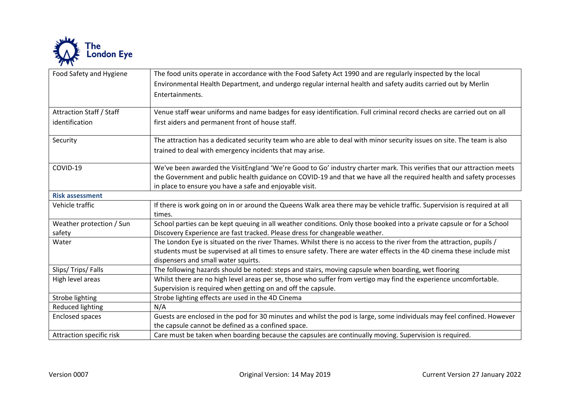

| Food Safety and Hygiene         | The food units operate in accordance with the Food Safety Act 1990 and are regularly inspected by the local<br>Environmental Health Department, and undergo regular internal health and safety audits carried out by Merlin |
|---------------------------------|-----------------------------------------------------------------------------------------------------------------------------------------------------------------------------------------------------------------------------|
|                                 | Entertainments.                                                                                                                                                                                                             |
| <b>Attraction Staff / Staff</b> | Venue staff wear uniforms and name badges for easy identification. Full criminal record checks are carried out on all                                                                                                       |
| identification                  | first aiders and permanent front of house staff.                                                                                                                                                                            |
| Security                        | The attraction has a dedicated security team who are able to deal with minor security issues on site. The team is also                                                                                                      |
|                                 | trained to deal with emergency incidents that may arise.                                                                                                                                                                    |
| COVID-19                        | We've been awarded the VisitEngland 'We're Good to Go' industry charter mark. This verifies that our attraction meets                                                                                                       |
|                                 | the Government and public health guidance on COVID-19 and that we have all the required health and safety processes                                                                                                         |
|                                 | in place to ensure you have a safe and enjoyable visit.                                                                                                                                                                     |
| <b>Risk assessment</b>          |                                                                                                                                                                                                                             |
| Vehicle traffic                 | If there is work going on in or around the Queens Walk area there may be vehicle traffic. Supervision is required at all<br>times.                                                                                          |
| Weather protection / Sun        | School parties can be kept queuing in all weather conditions. Only those booked into a private capsule or for a School                                                                                                      |
| safety                          | Discovery Experience are fast tracked. Please dress for changeable weather.                                                                                                                                                 |
| Water                           | The London Eye is situated on the river Thames. Whilst there is no access to the river from the attraction, pupils /                                                                                                        |
|                                 | students must be supervised at all times to ensure safety. There are water effects in the 4D cinema these include mist<br>dispensers and small water squirts.                                                               |
| Slips/Trips/Falls               | The following hazards should be noted: steps and stairs, moving capsule when boarding, wet flooring                                                                                                                         |
| High level areas                | Whilst there are no high level areas per se, those who suffer from vertigo may find the experience uncomfortable.                                                                                                           |
|                                 | Supervision is required when getting on and off the capsule.                                                                                                                                                                |
| Strobe lighting                 | Strobe lighting effects are used in the 4D Cinema                                                                                                                                                                           |
| Reduced lighting                | N/A                                                                                                                                                                                                                         |
| <b>Enclosed spaces</b>          | Guests are enclosed in the pod for 30 minutes and whilst the pod is large, some individuals may feel confined. However                                                                                                      |
|                                 | the capsule cannot be defined as a confined space.                                                                                                                                                                          |
| Attraction specific risk        | Care must be taken when boarding because the capsules are continually moving. Supervision is required.                                                                                                                      |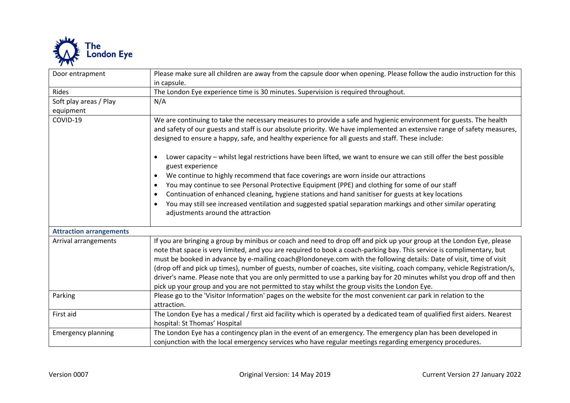

| Door entrapment                | Please make sure all children are away from the capsule door when opening. Please follow the audio instruction for this                                                                                                                                                                                                                                                                                                                                                                                                                                                                                                                                                                                                      |
|--------------------------------|------------------------------------------------------------------------------------------------------------------------------------------------------------------------------------------------------------------------------------------------------------------------------------------------------------------------------------------------------------------------------------------------------------------------------------------------------------------------------------------------------------------------------------------------------------------------------------------------------------------------------------------------------------------------------------------------------------------------------|
|                                | in capsule.                                                                                                                                                                                                                                                                                                                                                                                                                                                                                                                                                                                                                                                                                                                  |
| Rides                          | The London Eye experience time is 30 minutes. Supervision is required throughout.                                                                                                                                                                                                                                                                                                                                                                                                                                                                                                                                                                                                                                            |
| Soft play areas / Play         | N/A                                                                                                                                                                                                                                                                                                                                                                                                                                                                                                                                                                                                                                                                                                                          |
| equipment                      |                                                                                                                                                                                                                                                                                                                                                                                                                                                                                                                                                                                                                                                                                                                              |
| COVID-19                       | We are continuing to take the necessary measures to provide a safe and hygienic environment for guests. The health<br>and safety of our guests and staff is our absolute priority. We have implemented an extensive range of safety measures,<br>designed to ensure a happy, safe, and healthy experience for all guests and staff. These include:                                                                                                                                                                                                                                                                                                                                                                           |
|                                | Lower capacity - whilst legal restrictions have been lifted, we want to ensure we can still offer the best possible<br>guest experience<br>We continue to highly recommend that face coverings are worn inside our attractions<br>You may continue to see Personal Protective Equipment (PPE) and clothing for some of our staff<br>$\bullet$<br>Continuation of enhanced cleaning, hygiene stations and hand sanitiser for guests at key locations<br>$\bullet$<br>You may still see increased ventilation and suggested spatial separation markings and other similar operating<br>adjustments around the attraction                                                                                                       |
| <b>Attraction arrangements</b> |                                                                                                                                                                                                                                                                                                                                                                                                                                                                                                                                                                                                                                                                                                                              |
| Arrival arrangements           | If you are bringing a group by minibus or coach and need to drop off and pick up your group at the London Eye, please<br>note that space is very limited, and you are required to book a coach-parking bay. This service is complimentary, but<br>must be booked in advance by e-mailing coach@londoneye.com with the following details: Date of visit, time of visit<br>(drop off and pick up times), number of guests, number of coaches, site visiting, coach company, vehicle Registration/s,<br>driver's name. Please note that you are only permitted to use a parking bay for 20 minutes whilst you drop off and then<br>pick up your group and you are not permitted to stay whilst the group visits the London Eye. |
| Parking                        | Please go to the 'Visitor Information' pages on the website for the most convenient car park in relation to the<br>attraction.                                                                                                                                                                                                                                                                                                                                                                                                                                                                                                                                                                                               |
| First aid                      | The London Eye has a medical / first aid facility which is operated by a dedicated team of qualified first aiders. Nearest<br>hospital: St Thomas' Hospital                                                                                                                                                                                                                                                                                                                                                                                                                                                                                                                                                                  |
| <b>Emergency planning</b>      | The London Eye has a contingency plan in the event of an emergency. The emergency plan has been developed in<br>conjunction with the local emergency services who have regular meetings regarding emergency procedures.                                                                                                                                                                                                                                                                                                                                                                                                                                                                                                      |